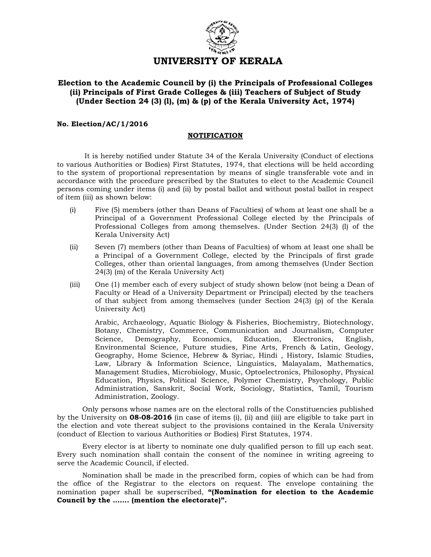

## Election to the Academic Council by (i) the Principals of Professional Colleges (ii) Principals of First Grade Colleges & (iii) Teachers of Subject of Study (Under Section 24 (3) (l), (m) & (p) of the Kerala University Act, 1974)

#### No. Election/AC/1/2016

#### NOTIFICATION

 It is hereby notified under Statute 34 of the Kerala University (Conduct of elections to various Authorities or Bodies) First Statutes, 1974, that elections will be held according to the system of proportional representation by means of single transferable vote and in accordance with the procedure prescribed by the Statutes to elect to the Academic Council persons coming under items (i) and (ii) by postal ballot and without postal ballot in respect of item (iii) as shown below:

- (i) Five (5) members (other than Deans of Faculties) of whom at least one shall be a Principal of a Government Professional College elected by the Principals of Professional Colleges from among themselves. (Under Section 24(3) (l) of the Kerala University Act)
- (ii) Seven (7) members (other than Deans of Faculties) of whom at least one shall be a Principal of a Government College, elected by the Principals of first grade Colleges, other than oriental languages, from among themselves (Under Section 24(3) (m) of the Kerala University Act)
- (iii) One (1) member each of every subject of study shown below (not being a Dean of Faculty or Head of a University Department or Principal) elected by the teachers of that subject from among themselves (under Section 24(3) (p) of the Kerala University Act)

Arabic, Archaeology, Aquatic Biology & Fisheries, Biochemistry, Biotechnology, Botany, Chemistry, Commerce, Communication and Journalism, Computer Science, Demography, Economics, Education, Electronics, English, Environmental Science, Future studies, Fine Arts, French & Latin, Geology, Geography, Home Science, Hebrew & Syriac, Hindi , History, Islamic Studies, Law, Library & Information Science, Linguistics, Malayalam, Mathematics, Management Studies, Microbiology, Music, Optoelectronics, Philosophy, Physical Education, Physics, Political Science, Polymer Chemistry, Psychology, Public Administration, Sanskrit, Social Work, Sociology, Statistics, Tamil, Tourism Administration, Zoology.

Only persons whose names are on the electoral rolls of the Constituencies published by the University on **08-08-2016** (in case of items (i), (ii) and (iii) are eligible to take part in the election and vote thereat subject to the provisions contained in the Kerala University (conduct of Election to various Authorities or Bodies) First Statutes, 1974.

Every elector is at liberty to nominate one duly qualified person to fill up each seat. Every such nomination shall contain the consent of the nominee in writing agreeing to serve the Academic Council, if elected.

Nomination shall be made in the prescribed form, copies of which can be had from the office of the Registrar to the electors on request. The envelope containing the nomination paper shall be superscribed, "(Nomination for election to the Academic Council by the ……. (mention the electorate)".